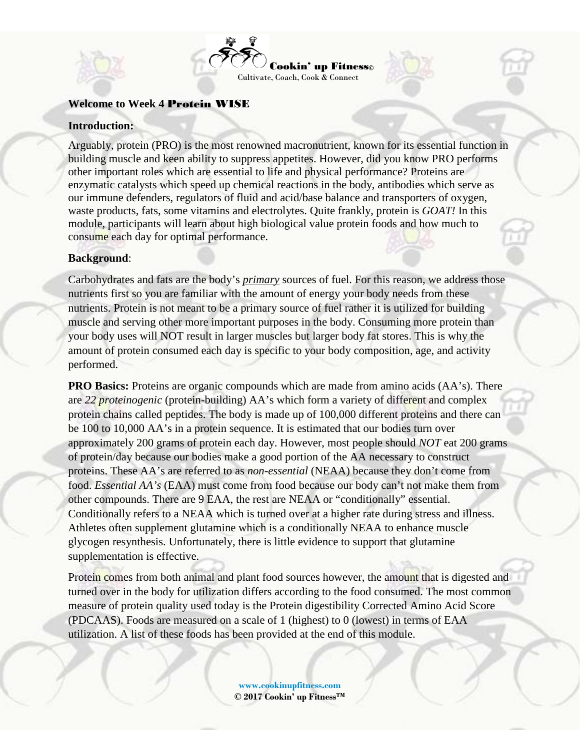

## **Welcome to Week 4** Protein WISE

#### **Introduction:**

Arguably, protein (PRO) is the most renowned macronutrient, known for its essential function in building muscle and keen ability to suppress appetites. However, did you know PRO performs other important roles which are essential to life and physical performance? Proteins are enzymatic catalysts which speed up chemical reactions in the body, antibodies which serve as our immune defenders, regulators of fluid and acid/base balance and transporters of oxygen, waste products, fats, some vitamins and electrolytes. Quite frankly, protein is *GOAT!* In this module, participants will learn about high biological value protein foods and how much to consume each day for optimal performance.

#### **Background**:

Carbohydrates and fats are the body's *primary* sources of fuel. For this reason, we address those nutrients first so you are familiar with the amount of energy your body needs from these nutrients. Protein is not meant to be a primary source of fuel rather it is utilized for building muscle and serving other more important purposes in the body. Consuming more protein than your body uses will NOT result in larger muscles but larger body fat stores. This is why the amount of protein consumed each day is specific to your body composition, age, and activity performed.

**PRO Basics:** Proteins are organic compounds which are made from amino acids (AA's). There are *22 proteinogenic* (protein-building) AA's which form a variety of different and complex protein chains called peptides. The body is made up of 100,000 different proteins and there can be 100 to 10,000 AA's in a protein sequence. It is estimated that our bodies turn over approximately 200 grams of protein each day. However, most people should *NOT* eat 200 grams of protein/day because our bodies make a good portion of the AA necessary to construct proteins. These AA's are referred to as *non-essential* (NEAA) because they don't come from food. *Essential AA's* (EAA) must come from food because our body can't not make them from other compounds. There are 9 EAA, the rest are NEAA or "conditionally" essential. Conditionally refers to a NEAA which is turned over at a higher rate during stress and illness. Athletes often supplement glutamine which is a conditionally NEAA to enhance muscle glycogen resynthesis. Unfortunately, there is little evidence to support that glutamine supplementation is effective.

Protein comes from both animal and plant food sources however, the amount that is digested and turned over in the body for utilization differs according to the food consumed. The most common measure of protein quality used today is the Protein digestibility Corrected Amino Acid Score (PDCAAS). Foods are measured on a scale of 1 (highest) to 0 (lowest) in terms of EAA utilization. A list of these foods has been provided at the end of this module.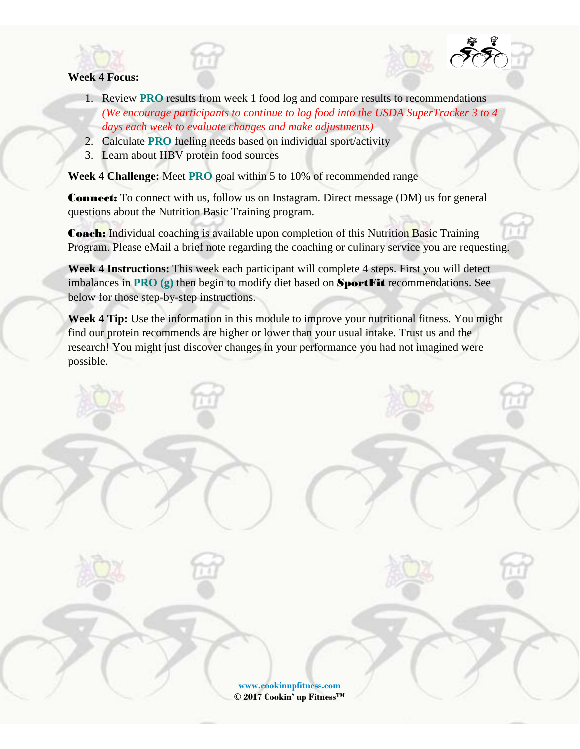

## **Week 4 Focus:**

- 1. Review **PRO** results from week 1 food log and compare results to recommendations *(We encourage participants to continue to log food into the USDA SuperTracker 3 to 4 days each week to evaluate changes and make adjustments)*
- 2. Calculate **PRO** fueling needs based on individual sport/activity
- 3. Learn about HBV protein food sources

**Week 4 Challenge:** Meet **PRO** goal within 5 to 10% of recommended range

Connect: To connect with us, follow us on [Instagram.](https://www.instagram.com/cookinupfitness/) Direct message (DM) us for general questions about the Nutrition Basic Training program.

**Coach:** Individual coaching is available upon completion of this Nutrition Basic Training Program. Please [eMail](mailto:info@cookinupfitness.com) a brief note regarding the coaching or culinary service you are requesting.

**Week 4 Instructions:** This week each participant will complete 4 steps. First you will detect imbalances in **PRO (g)** then begin to modify diet based on SportFit recommendations. See below for those step-by-step instructions.

**Week 4 Tip:** Use the information in this module to improve your nutritional fitness. You might find our protein recommends are higher or lower than your usual intake. Trust us and the research! You might just discover changes in your performance you had not imagined were possible.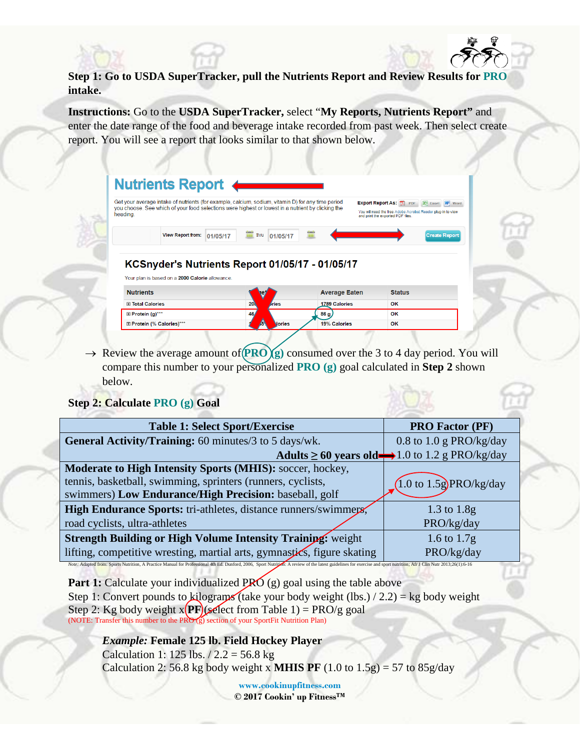**Step 1: Go to USDA SuperTracker, pull the Nutrients Report and Review Results for PRO intake.**

**Instructions:** Go to the **USDA SuperTracker,** select "**My Reports, Nutrients Report"** and enter the date range of the food and beverage intake recorded from past week. Then select create report. You will see a report that looks similar to that shown below.

| heading.                                        | Get your average intake of nutrients (for example, calcium, sodium, vitamin D) for any time period<br>you choose. See which of your food selections were highest or lowest in a nutrient by clicking the |                      | Export Report As: 1 PDF X Excel W Word<br>You will need the free Adobe Acrobat Reader plug-in to view<br>and print the exported PDF files. |
|-------------------------------------------------|----------------------------------------------------------------------------------------------------------------------------------------------------------------------------------------------------------|----------------------|--------------------------------------------------------------------------------------------------------------------------------------------|
| <b>View Report from:</b>                        | thru<br>01/05/17<br><b>HEE</b><br>01/05/17                                                                                                                                                               |                      | <b>Create Report</b>                                                                                                                       |
|                                                 |                                                                                                                                                                                                          |                      |                                                                                                                                            |
| Your plan is based on a 2000 Calorie allowance. | <b>KCSnyder's Nutrients Report 01/05/17 - 01/05/17</b>                                                                                                                                                   |                      |                                                                                                                                            |
| <b>Nutrients</b>                                |                                                                                                                                                                                                          | <b>Average Eaten</b> | <b>Status</b>                                                                                                                              |
| 田 Total Calories                                | <b>200</b><br><i>Aries</i>                                                                                                                                                                               | <b>1789 Calories</b> | OK                                                                                                                                         |
| ⊞ Protein (g)***                                | 46                                                                                                                                                                                                       | 86 g                 | OK                                                                                                                                         |

 $\rightarrow$  Review the average amount of  $(PRO)(g)$  consumed over the 3 to 4 day period. You will compare this number to your personalized **PRO (g)** goal calculated in **Step 2** shown below.

## **Step 2: Calculate PRO (g) Goal**

| <b>Table 1: Select Sport/Exercise</b>                                                                                                                                                                                | <b>PRO Factor (PF)</b>                                           |
|----------------------------------------------------------------------------------------------------------------------------------------------------------------------------------------------------------------------|------------------------------------------------------------------|
| General Activity/Training: 60 minutes/3 to 5 days/wk.                                                                                                                                                                | 0.8 to 1.0 g PRO/kg/day                                          |
|                                                                                                                                                                                                                      | Adults $\geq 60$ years old $\rightarrow 1.0$ to 1.2 g PRO/kg/day |
| Moderate to High Intensity Sports (MHIS): soccer, hockey,                                                                                                                                                            |                                                                  |
| tennis, basketball, swimming, sprinters (runners, cyclists,                                                                                                                                                          | $(1.0 \text{ to } 1.5g)$ PRO/kg/day                              |
| swimmers) Low Endurance/High Precision: baseball, golf                                                                                                                                                               |                                                                  |
| High Endurance Sports: tri-athletes, distance runners/swimmers/                                                                                                                                                      | 1.3 to $1.8g$                                                    |
| road cyclists, ultra-athletes                                                                                                                                                                                        | PRO/kg/day                                                       |
| <b>Strength Building or High Volume Intensity Training: weight</b>                                                                                                                                                   | 1.6 to $1.7g$                                                    |
| lifting, competitive wresting, martial arts, gymnastics, figure skating                                                                                                                                              | PRO/kg/day                                                       |
| Note: Adapted from: Sports Nutrition, A Practice Manual for Professional 4th Ed. Dunford, 2006, Sport Nutrition: A review of the latest guidelines for exercise and sport nutrition; Afr J Clin Nutr 2013;26(1):6-16 |                                                                  |

**Part 1:** Calculate your individualized PRO (g) goal using the table above Step 1: Convert pounds to kilograms (take your body weight (lbs.)  $/ 2.2$ ) = kg body weight Step 2: Kg body weight  $x(PF)(s$  (select from Table 1) = PRO/g goal (NOTE: Transfer this number to the PRO (g) section of your SportFit Nutrition Plan)

*Example:* **Female 125 lb. Field Hockey Player**  Calculation 1: 125 lbs.  $/ 2.2 = 56.8$  kg Calculation 2: 56.8 kg body weight x **MHIS PF**  $(1.0 \text{ to } 1.5 \text{g}) = 57 \text{ to } 85 \text{g/day}$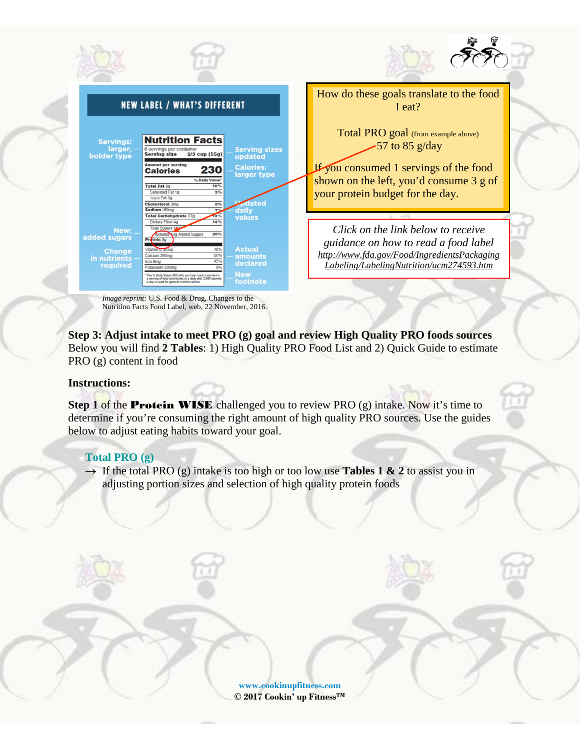

*Image reprint:* U.S. Food & Drug, Changes to the Nutrition Facts Food Label, web, 22 November, 2016.

**Step 3: Adjust intake to meet PRO (g) goal and review High Quality PRO foods sources** Below you will find **2 Tables**: 1) High Quality PRO Food List and 2) Quick Guide to estimate PRO (g) content in food

## **Instructions:**

**Step 1 of the Protein WISE** challenged you to review PRO (g) intake. Now it's time to determine if you're consuming the right amount of high quality PRO sources. Use the guides below to adjust eating habits toward your goal.

## **Total PRO (g)**

 $\rightarrow$  If the total PRO (g) intake is too high or too low use **Tables 1 & 2** to assist you in adjusting portion sizes and selection of high quality protein foods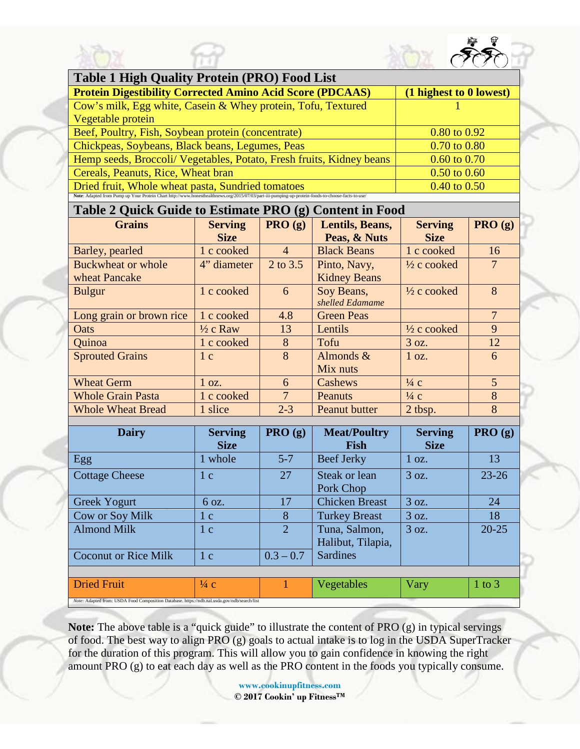



# **Table 2 Quick Guide to Estimate PRO (g) Content in Food**

| <b>Grains</b>             | <b>Serving</b><br><b>Size</b> | $\sim$<br>PRO(g) | Lentils, Beans,<br>Peas, & Nuts | <b>Serving</b><br><b>Size</b> | PRO(g)         |
|---------------------------|-------------------------------|------------------|---------------------------------|-------------------------------|----------------|
| Barley, pearled           | 1 c cooked                    | $\overline{4}$   | <b>Black Beans</b>              | 1 c cooked                    | 16             |
| <b>Buckwheat or whole</b> | 4" diameter                   | 2 to 3.5         | Pinto, Navy,                    | $\frac{1}{2}$ c cooked        | 7              |
| wheat Pancake             |                               |                  | <b>Kidney Beans</b>             |                               |                |
| <b>Bulgur</b>             | 1 c cooked                    | 6                | Soy Beans,                      | $\frac{1}{2}$ c cooked        | 8              |
|                           |                               |                  | shelled Edamame                 |                               |                |
| Long grain or brown rice  | 1 c cooked                    | 4.8              | <b>Green Peas</b>               |                               | $\overline{7}$ |
| Oats                      | $\frac{1}{2}$ c Raw           | 13               | Lentils                         | $\frac{1}{2}$ c cooked        | 9              |
| Quinoa                    | 1 c cooked                    | 8                | Tofu                            | 3 oz.                         | 12             |
| <b>Sprouted Grains</b>    | 1c                            | 8                | Almonds $\&$                    | 1 oz.                         | 6              |
|                           |                               |                  | Mix nuts                        |                               |                |
| <b>Wheat Germ</b>         | $1$ oz.                       | 6                | Cashews                         | $\frac{1}{4}$ c               | $\overline{5}$ |
| <b>Whole Grain Pasta</b>  | 1 c cooked                    | $7\overline{ }$  | Peanuts                         | $\frac{1}{4}$ c               | 8              |
| <b>Whole Wheat Bread</b>  | 1 slice                       | $2 - 3$          | <b>Peanut butter</b>            | 2 tbsp.                       | 8              |

| <b>Dairy</b>                | <b>Serving</b><br><b>Size</b> | PRO(g)                 | <b>Meat/Poultry</b><br>Fish        | <b>Serving</b><br><b>Size</b> | PRO(g)     |
|-----------------------------|-------------------------------|------------------------|------------------------------------|-------------------------------|------------|
| Egg                         | 1 whole                       | $5 - 7$                | <b>Beef Jerky</b>                  | $1$ oz.                       | 13         |
| <b>Cottage Cheese</b>       | 1c                            | 27                     | Steak or lean<br>Pork Chop         | 3 oz.                         | $23 - 26$  |
| Greek Yogurt                | 6 oz.                         | 17                     | <b>Chicken Breast</b>              | 3 oz.                         | 24         |
| Cow or Soy Milk             | 1c                            | 8                      | <b>Turkey Breast</b>               | 3 oz.                         | 18         |
| <b>Almond Milk</b>          | 1 <sub>c</sub>                | $\mathcal{D}_{\alpha}$ | Tuna, Salmon,<br>Halibut, Tilapia, | 3 oz.                         | $20 - 25$  |
| <b>Coconut or Rice Milk</b> | 1 <sub>c</sub>                | $0.3 - 0.7$            | <b>Sardines</b>                    |                               |            |
|                             |                               |                        |                                    |                               |            |
| <b>Dried Fruit</b>          | $\frac{1}{4}$ C               |                        | Vegetables                         | Vary                          | $1$ to $3$ |

**Note:** The above table is a "quick guide" to illustrate the content of PRO (g) in typical servings of food. The best way to align PRO (g) goals to actual intake is to log in the USDA SuperTracker for the duration of this program. This will allow you to gain confidence in knowing the right amount PRO (g) to eat each day as well as the PRO content in the foods you typically consume.

*Note:* Adapted from: USDA Food Composition Database. https://ndb.nal.usda.gov/ndb/search/list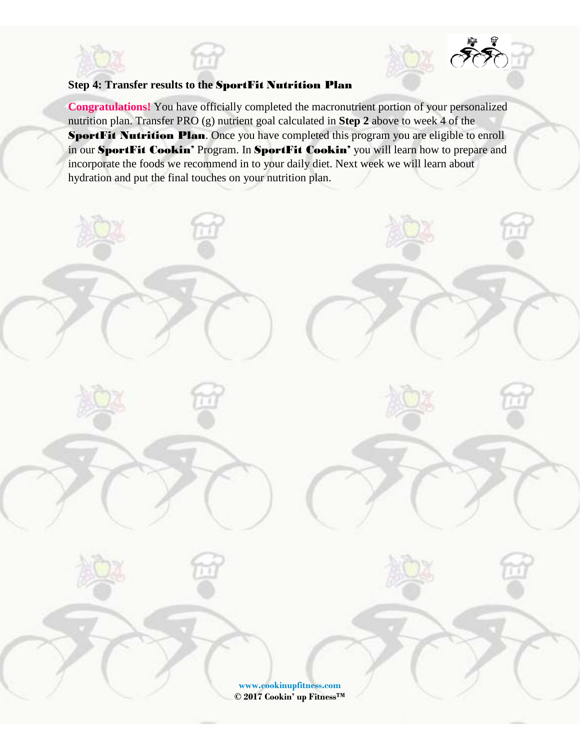# **Step 4: Transfer results to the** SportFit Nutrition Plan

**Congratulations!** You have officially completed the macronutrient portion of your personalized nutrition plan. Transfer PRO (g) nutrient goal calculated in **Step 2** above to week 4 of the SportFit Nutrition Plan. Once you have completed this program you are eligible to enroll in our SportFit Cookin' Program. In SportFit Cookin' you will learn how to prepare and incorporate the foods we recommend in to your daily diet. Next week we will learn about hydration and put the final touches on your nutrition plan.